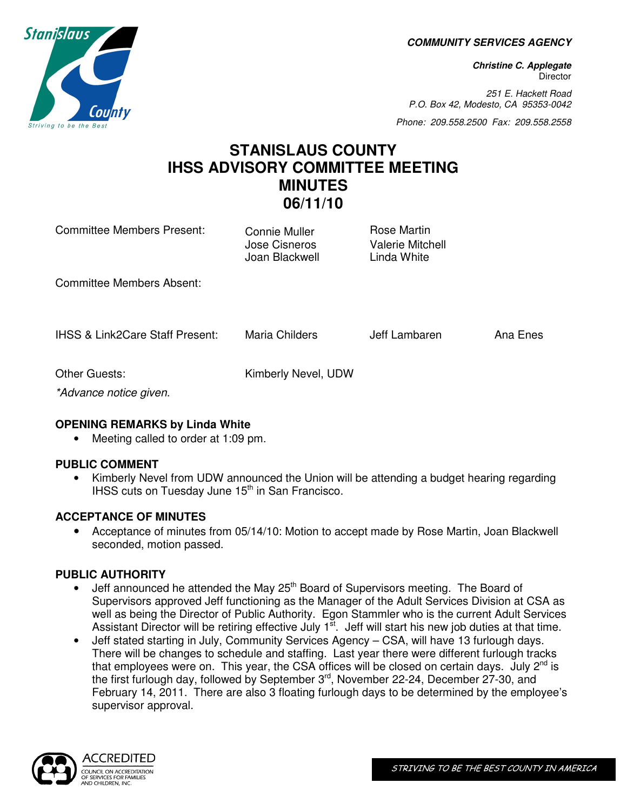**COMMUNITY SERVICES AGENCY** 

**Christine C. Applegate Director** 

251 E. Hackett Road P.O. Box 42, Modesto, CA 95353-0042

Phone: 209.558.2500 Fax: 209.558.2558

# **STANISLAUS COUNTY IHSS ADVISORY COMMITTEE MEETING MINUTES 06/11/10**

| Committee Members Present:                 | <b>Connie Muller</b><br>Jose Cisneros<br>Joan Blackwell | Rose Martin<br>Valerie Mitchell<br>Linda White |          |
|--------------------------------------------|---------------------------------------------------------|------------------------------------------------|----------|
| Committee Members Absent:                  |                                                         |                                                |          |
| <b>IHSS &amp; Link2Care Staff Present:</b> | Maria Childers                                          | Jeff Lambaren                                  | Ana Enes |
| Other Guests:<br>*Advance notice given.    | Kimberly Nevel, UDW                                     |                                                |          |

# **OPENING REMARKS by Linda White**

• Meeting called to order at 1:09 pm.

### **PUBLIC COMMENT**

• Kimberly Nevel from UDW announced the Union will be attending a budget hearing regarding IHSS cuts on Tuesday June  $15<sup>th</sup>$  in San Francisco.

### **ACCEPTANCE OF MINUTES**

• Acceptance of minutes from 05/14/10: Motion to accept made by Rose Martin, Joan Blackwell seconded, motion passed.

### **PUBLIC AUTHORITY**

- Jeff announced he attended the May 25<sup>th</sup> Board of Supervisors meeting. The Board of Supervisors approved Jeff functioning as the Manager of the Adult Services Division at CSA as well as being the Director of Public Authority. Egon Stammler who is the current Adult Services Assistant Director will be retiring effective July  $1<sup>st</sup>$ . Jeff will start his new job duties at that time.
- Jeff stated starting in July, Community Services Agency CSA, will have 13 furlough days. There will be changes to schedule and staffing. Last year there were different furlough tracks that employees were on. This year, the CSA offices will be closed on certain days. July  $2^{nd}$  is the first furlough day, followed by September 3rd, November 22-24, December 27-30, and February 14, 2011. There are also 3 floating furlough days to be determined by the employee's supervisor approval.